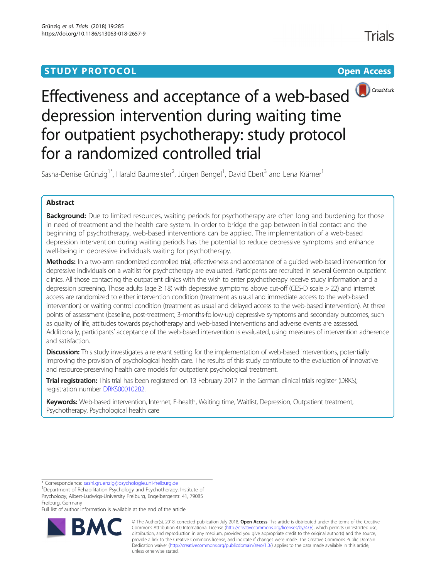# **STUDY PROTOCOL CONSUMING THE CONSUMING OPEN ACCESS**



Effectiveness and acceptance of a web-based depression intervention during waiting time for outpatient psychotherapy: study protocol for a randomized controlled trial

Sasha-Denise Grünzig<sup>1\*</sup>, Harald Baumeister<sup>2</sup>, Jürgen Bengel<sup>1</sup>, David Ebert<sup>3</sup> and Lena Krämer<sup>1</sup>

## Abstract

Background: Due to limited resources, waiting periods for psychotherapy are often long and burdening for those in need of treatment and the health care system. In order to bridge the gap between initial contact and the beginning of psychotherapy, web-based interventions can be applied. The implementation of a web-based depression intervention during waiting periods has the potential to reduce depressive symptoms and enhance well-being in depressive individuals waiting for psychotherapy.

Methods: In a two-arm randomized controlled trial, effectiveness and acceptance of a quided web-based intervention for depressive individuals on a waitlist for psychotherapy are evaluated. Participants are recruited in several German outpatient clinics. All those contacting the outpatient clinics with the wish to enter psychotherapy receive study information and a depression screening. Those adults (age ≥ 18) with depressive symptoms above cut-off (CES-D scale > 22) and internet access are randomized to either intervention condition (treatment as usual and immediate access to the web-based intervention) or waiting control condition (treatment as usual and delayed access to the web-based intervention). At three points of assessment (baseline, post-treatment, 3-months-follow-up) depressive symptoms and secondary outcomes, such as quality of life, attitudes towards psychotherapy and web-based interventions and adverse events are assessed. Additionally, participants' acceptance of the web-based intervention is evaluated, using measures of intervention adherence and satisfaction.

**Discussion:** This study investigates a relevant setting for the implementation of web-based interventions, potentially improving the provision of psychological health care. The results of this study contribute to the evaluation of innovative and resource-preserving health care models for outpatient psychological treatment.

Trial registration: This trial has been registered on 13 February 2017 in the German clinical trials register (DRKS); registration number [DRKS00010282](https://www.drks.de/drks_web/setLocale_EN.do).

Keywords: Web-based intervention, Internet, E-health, Waiting time, Waitlist, Depression, Outpatient treatment, Psychotherapy, Psychological health care

Full list of author information is available at the end of the article



© The Author(s). 2018, corrected publication July 2018. Open Access This article is distributed under the terms of the Creative Commons Attribution 4.0 International License ([http://creativecommons.org/licenses/by/4.0/\)](http://creativecommons.org/licenses/by/4.0/), which permits unrestricted use, distribution, and reproduction in any medium, provided you give appropriate credit to the original author(s) and the source, provide a link to the Creative Commons license, and indicate if changes were made. The Creative Commons Public Domain Dedication waiver [\(http://creativecommons.org/publicdomain/zero/1.0/](http://creativecommons.org/publicdomain/zero/1.0/)) applies to the data made available in this article, unless otherwise stated.

<sup>\*</sup> Correspondence: [sashi.gruenzig@psychologie.uni-freiburg.de](mailto:sashi.gruenzig@psychologie.uni-freiburg.de) <sup>1</sup>

<sup>&</sup>lt;sup>1</sup>Department of Rehabilitation Psychology and Psychotherapy, Institute of Psychology, Albert-Ludwigs-University Freiburg, Engelbergerstr. 41, 79085 Freiburg, Germany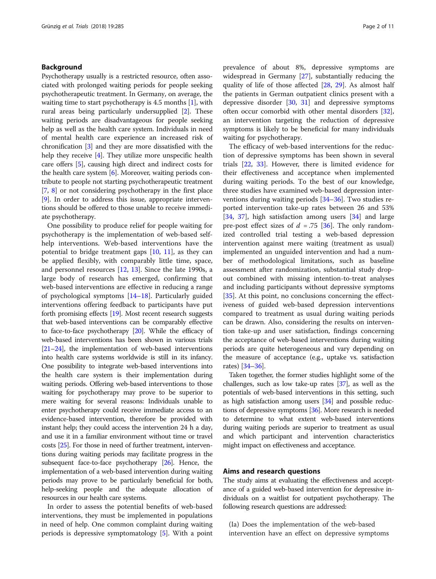## Background

Psychotherapy usually is a restricted resource, often associated with prolonged waiting periods for people seeking psychotherapeutic treatment. In Germany, on average, the waiting time to start psychotherapy is 4.5 months [\[1](#page-8-0)], with rural areas being particularly undersupplied [\[2\]](#page-8-0). These waiting periods are disadvantageous for people seeking help as well as the health care system. Individuals in need of mental health care experience an increased risk of chronification [\[3\]](#page-8-0) and they are more dissatisfied with the help they receive [\[4](#page-8-0)]. They utilize more unspecific health care offers [\[5](#page-8-0)], causing high direct and indirect costs for the health care system [\[6\]](#page-8-0). Moreover, waiting periods contribute to people not starting psychotherapeutic treatment [[7,](#page-8-0) [8](#page-8-0)] or not considering psychotherapy in the first place [[9\]](#page-8-0). In order to address this issue, appropriate interventions should be offered to those unable to receive immediate psychotherapy.

One possibility to produce relief for people waiting for psychotherapy is the implementation of web-based selfhelp interventions. Web-based interventions have the potential to bridge treatment gaps [[10,](#page-8-0) [11\]](#page-8-0), as they can be applied flexibly, with comparably little time, space, and personnel resources [[12](#page-8-0), [13\]](#page-8-0). Since the late 1990s, a large body of research has emerged, confirming that web-based interventions are effective in reducing a range of psychological symptoms [\[14](#page-8-0)–[18\]](#page-8-0). Particularly guided interventions offering feedback to participants have put forth promising effects [\[19\]](#page-8-0). Most recent research suggests that web-based interventions can be comparably effective to face-to-face psychotherapy [\[20](#page-8-0)]. While the efficacy of web-based interventions has been shown in various trials  $[21–24]$  $[21–24]$  $[21–24]$  $[21–24]$  $[21–24]$ , the implementation of web-based interventions into health care systems worldwide is still in its infancy. One possibility to integrate web-based interventions into the health care system is their implementation during waiting periods. Offering web-based interventions to those waiting for psychotherapy may prove to be superior to mere waiting for several reasons: Individuals unable to enter psychotherapy could receive immediate access to an evidence-based intervention, therefore be provided with instant help; they could access the intervention 24 h a day, and use it in a familiar environment without time or travel costs [\[25](#page-9-0)]. For those in need of further treatment, interventions during waiting periods may facilitate progress in the subsequent face-to-face psychotherapy [\[26](#page-9-0)]. Hence, the implementation of a web-based intervention during waiting periods may prove to be particularly beneficial for both, help-seeking people and the adequate allocation of resources in our health care systems.

In order to assess the potential benefits of web-based interventions, they must be implemented in populations in need of help. One common complaint during waiting periods is depressive symptomatology [\[5](#page-8-0)]. With a point prevalence of about 8%, depressive symptoms are widespread in Germany [[27\]](#page-9-0), substantially reducing the quality of life of those affected [[28,](#page-9-0) [29\]](#page-9-0). As almost half the patients in German outpatient clinics present with a depressive disorder [[30,](#page-9-0) [31\]](#page-9-0) and depressive symptoms often occur comorbid with other mental disorders [\[32](#page-9-0)], an intervention targeting the reduction of depressive symptoms is likely to be beneficial for many individuals waiting for psychotherapy.

The efficacy of web-based interventions for the reduction of depressive symptoms has been shown in several trials [\[22](#page-8-0), [33](#page-9-0)]. However, there is limited evidence for their effectiveness and acceptance when implemented during waiting periods. To the best of our knowledge, three studies have examined web-based depression interventions during waiting periods [[34](#page-9-0)–[36](#page-9-0)]. Two studies reported intervention take-up rates between 26 and 53% [[34,](#page-9-0) [37\]](#page-9-0), high satisfaction among users [[34\]](#page-9-0) and large pre-post effect sizes of  $d = .75$  [[36](#page-9-0)]. The only randomized controlled trial testing a web-based depression intervention against mere waiting (treatment as usual) implemented an unguided intervention and had a number of methodological limitations, such as baseline assessment after randomization, substantial study dropout combined with missing intention-to-treat analyses and including participants without depressive symptoms [[35\]](#page-9-0). At this point, no conclusions concerning the effectiveness of guided web-based depression interventions compared to treatment as usual during waiting periods can be drawn. Also, considering the results on intervention take-up and user satisfaction, findings concerning the acceptance of web-based interventions during waiting periods are quite heterogeneous and vary depending on the measure of acceptance (e.g., uptake vs. satisfaction rates) [[34](#page-9-0)–[36\]](#page-9-0).

Taken together, the former studies highlight some of the challenges, such as low take-up rates [\[37\]](#page-9-0), as well as the potentials of web-based interventions in this setting, such as high satisfaction among users [\[34\]](#page-9-0) and possible reductions of depressive symptoms [\[36\]](#page-9-0). More research is needed to determine to what extent web-based interventions during waiting periods are superior to treatment as usual and which participant and intervention characteristics might impact on effectiveness and acceptance.

## Aims and research questions

The study aims at evaluating the effectiveness and acceptance of a guided web-based intervention for depressive individuals on a waitlist for outpatient psychotherapy. The following research questions are addressed:

(Ia) Does the implementation of the web-based intervention have an effect on depressive symptoms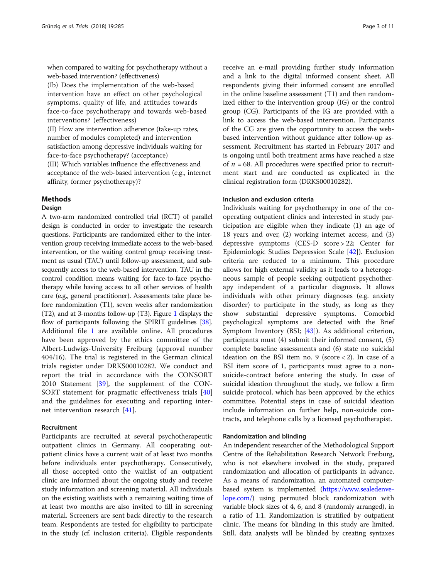when compared to waiting for psychotherapy without a web-based intervention? (effectiveness)

(Ib) Does the implementation of the web-based intervention have an effect on other psychological symptoms, quality of life, and attitudes towards face-to-face psychotherapy and towards web-based interventions? (effectiveness)

(II) How are intervention adherence (take-up rates, number of modules completed) and intervention satisfaction among depressive individuals waiting for face-to-face psychotherapy? (acceptance)

(III) Which variables influence the effectiveness and acceptance of the web-based intervention (e.g., internet affinity, former psychotherapy)?

## Methods

### Design

A two-arm randomized controlled trial (RCT) of parallel design is conducted in order to investigate the research questions. Participants are randomized either to the intervention group receiving immediate access to the web-based intervention, or the waiting control group receiving treatment as usual (TAU) until follow-up assessment, and subsequently access to the web-based intervention. TAU in the control condition means waiting for face-to-face psychotherapy while having access to all other services of health care (e.g., general practitioner). Assessments take place before randomization (T1), seven weeks after randomization (T2), and at 3-months follow-up (T3). Figure [1](#page-3-0) displays the flow of participants following the SPIRIT guidelines [\[38](#page-9-0)]. Additional file [1](#page-8-0) are available online. All procedures have been approved by the ethics committee of the Albert-Ludwigs-University Freiburg (approval number 404/16). The trial is registered in the German clinical trials register under DRKS00010282. We conduct and report the trial in accordance with the CONSORT 2010 Statement [[39\]](#page-9-0), the supplement of the CON-SORT statement for pragmatic effectiveness trials [\[40](#page-9-0)] and the guidelines for executing and reporting internet intervention research [[41\]](#page-9-0).

## Recruitment

Participants are recruited at several psychotherapeutic outpatient clinics in Germany. All cooperating outpatient clinics have a current wait of at least two months before individuals enter psychotherapy. Consecutively, all those accepted onto the waitlist of an outpatient clinic are informed about the ongoing study and receive study information and screening material. All individuals on the existing waitlists with a remaining waiting time of at least two months are also invited to fill in screening material. Screeners are sent back directly to the research team. Respondents are tested for eligibility to participate in the study (cf. inclusion criteria). Eligible respondents

receive an e-mail providing further study information and a link to the digital informed consent sheet. All respondents giving their informed consent are enrolled in the online baseline assessment (T1) and then randomized either to the intervention group (IG) or the control group (CG). Participants of the IG are provided with a link to access the web-based intervention. Participants of the CG are given the opportunity to access the webbased intervention without guidance after follow-up assessment. Recruitment has started in February 2017 and is ongoing until both treatment arms have reached a size of  $n = 68$ . All procedures were specified prior to recruitment start and are conducted as explicated in the clinical registration form (DRKS00010282).

## Inclusion and exclusion criteria

Individuals waiting for psychotherapy in one of the cooperating outpatient clinics and interested in study participation are eligible when they indicate (1) an age of 18 years and over, (2) working internet access, and (3) depressive symptoms (CES-D score > 22; Center for Epidemiologic Studies Depression Scale [\[42\]](#page-9-0)). Exclusion criteria are reduced to a minimum. This procedure allows for high external validity as it leads to a heterogeneous sample of people seeking outpatient psychotherapy independent of a particular diagnosis. It allows individuals with other primary diagnoses (e.g. anxiety disorder) to participate in the study, as long as they show substantial depressive symptoms. Comorbid psychological symptoms are detected with the Brief Symptom Inventory (BSI; [[43\]](#page-9-0)). As additional criterion, participants must (4) submit their informed consent, (5) complete baseline assessments and (6) state no suicidal ideation on the BSI item no. 9 (score < 2). In case of a BSI item score of 1, participants must agree to a nonsuicide-contract before entering the study. In case of suicidal ideation throughout the study, we follow a firm suicide protocol, which has been approved by the ethics committee. Potential steps in case of suicidal ideation include information on further help, non-suicide contracts, and telephone calls by a licensed psychotherapist.

### Randomization and blinding

An independent researcher of the Methodological Support Centre of the Rehabilitation Research Network Freiburg, who is not elsewhere involved in the study, prepared randomization and allocation of participants in advance. As a means of randomization, an automated computerbased system is implemented ([https://www.sealedenve](https://www.sealedenvelope.com/)[lope.com/\)](https://www.sealedenvelope.com/) using permuted block randomization with variable block sizes of 4, 6, and 8 (randomly arranged), in a ratio of 1:1. Randomization is stratified by outpatient clinic. The means for blinding in this study are limited. Still, data analysts will be blinded by creating syntaxes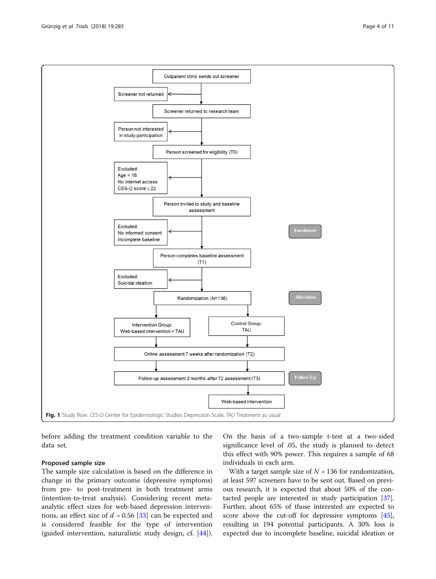<span id="page-3-0"></span>

before adding the treatment condition variable to the data set.

## Proposed sample size

The sample size calculation is based on the difference in change in the primary outcome (depressive symptoms) from pre- to post-treatment in both treatment arms (intention-to-treat analysis). Considering recent metaanalytic effect sizes for web-based depression interventions, an effect size of  $d = 0.56$  [[33\]](#page-9-0) can be expected and is considered feasible for the type of intervention (guided intervention, naturalistic study design, cf. [\[44](#page-9-0)]).

On the basis of a two-sample t-test at a two-sided significance level of .05, the study is planned to detect this effect with 90% power. This requires a sample of 68 individuals in each arm.

With a target sample size of  $N = 136$  for randomization, at least 597 screeners have to be sent out. Based on previous research, it is expected that about 50% of the contacted people are interested in study participation [[37](#page-9-0)]. Further, about 65% of those interested are expected to score above the cut-off for depressive symptoms [[45](#page-9-0)], resulting in 194 potential participants. A 30% loss is expected due to incomplete baseline, suicidal ideation or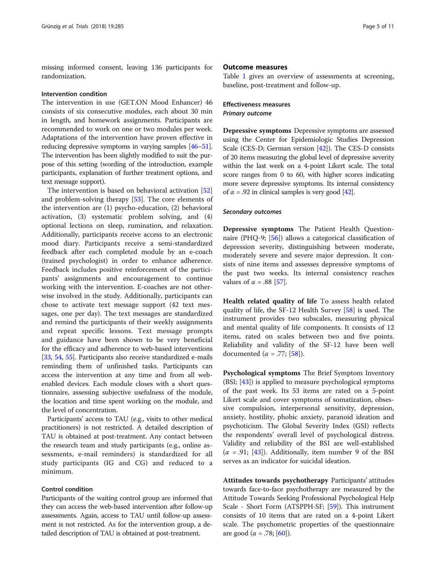missing informed consent, leaving 136 participants for randomization.

#### Intervention condition

The intervention in use (GET.ON Mood Enhancer) 46 consists of six consecutive modules, each about 30 min in length, and homework assignments. Participants are recommended to work on one or two modules per week. Adaptations of the intervention have proven effective in reducing depressive symptoms in varying samples [[46](#page-9-0)–[51](#page-9-0)]. The intervention has been slightly modified to suit the purpose of this setting (wording of the introduction, example participants, explanation of further treatment options, and text message support).

The intervention is based on behavioral activation [[52](#page-9-0)] and problem-solving therapy [[53\]](#page-9-0). The core elements of the intervention are (1) psycho-education, (2) behavioral activation, (3) systematic problem solving, and (4) optional lections on sleep, rumination, and relaxation. Additionally, participants receive access to an electronic mood diary. Participants receive a semi-standardized feedback after each completed module by an e-coach (trained psychologist) in order to enhance adherence. Feedback includes positive reinforcement of the participants' assignments and encouragement to continue working with the intervention. E-coaches are not otherwise involved in the study. Additionally, participants can chose to activate text message support (42 text messages, one per day). The text messages are standardized and remind the participants of their weekly assignments and repeat specific lessons. Text message prompts and guidance have been shown to be very beneficial for the efficacy and adherence to web-based interventions [[33](#page-9-0), [54](#page-9-0), [55](#page-9-0)]. Participants also receive standardized e-mails reminding them of unfinished tasks. Participants can access the intervention at any time and from all webenabled devices. Each module closes with a short questionnaire, assessing subjective usefulness of the module, the location and time spent working on the module, and the level of concentration.

Participants' access to TAU (e.g., visits to other medical practitioners) is not restricted. A detailed description of TAU is obtained at post-treatment. Any contact between the research team and study participants (e.g., online assessments, e-mail reminders) is standardized for all study participants (IG and CG) and reduced to a minimum.

#### Control condition

Participants of the waiting control group are informed that they can access the web-based intervention after follow-up assessments. Again, access to TAU until follow-up assessment is not restricted. As for the intervention group, a detailed description of TAU is obtained at post-treatment.

## Outcome measures

Table [1](#page-5-0) gives an overview of assessments at screening, baseline, post-treatment and follow-up.

## Effectiveness measures Primary outcome

Depressive symptoms Depressive symptoms are assessed using the Center for Epidemiologic Studies Depression Scale (CES-D; German version [[42](#page-9-0)]). The CES-D consists of 20 items measuring the global level of depressive severity within the last week on a 4-point Likert scale. The total score ranges from 0 to 60, with higher scores indicating more severe depressive symptoms. Its internal consistency of  $\alpha$  = .92 in clinical samples is very good [[42](#page-9-0)].

### Secondary outcomes

Depressive symptoms The Patient Health Questionnaire (PHQ-9; [\[56](#page-9-0)]) allows a categorical classification of depression severity, distinguishing between moderate, moderately severe and severe major depression. It consists of nine items and assesses depressive symptoms of the past two weeks. Its internal consistency reaches values of  $\alpha = .88$  [[57](#page-9-0)].

Health related quality of life To assess health related quality of life, the SF-12 Health Survey [\[58](#page-9-0)] is used. The instrument provides two subscales, measuring physical and mental quality of life components. It consists of 12 items, rated on scales between two and five points. Reliability and validity of the SF-12 have been well documented ( $\alpha$  = .77; [[58\]](#page-9-0)).

Psychological symptoms The Brief Symptom Inventory (BSI; [\[43](#page-9-0)]) is applied to measure psychological symptoms of the past week. Its 53 items are rated on a 5-point Likert scale and cover symptoms of somatization, obsessive compulsion, interpersonal sensitivity, depression, anxiety, hostility, phobic anxiety, paranoid ideation and psychoticism. The Global Severity Index (GSI) reflects the respondents' overall level of psychological distress. Validity and reliability of the BSI are well-established  $(\alpha = .91; [43])$  $(\alpha = .91; [43])$  $(\alpha = .91; [43])$ . Additionally, item number 9 of the BSI serves as an indicator for suicidal ideation.

Attitudes towards psychotherapy Participants' attitudes towards face-to-face psychotherapy are measured by the Attitude Towards Seeking Professional Psychological Help Scale - Short Form (ATSPPH-SF; [\[59\]](#page-9-0)). This instrument consists of 10 items that are rated on a 4-point Likert scale. The psychometric properties of the questionnaire are good ( $\alpha = .78$ ; [\[60\]](#page-9-0)).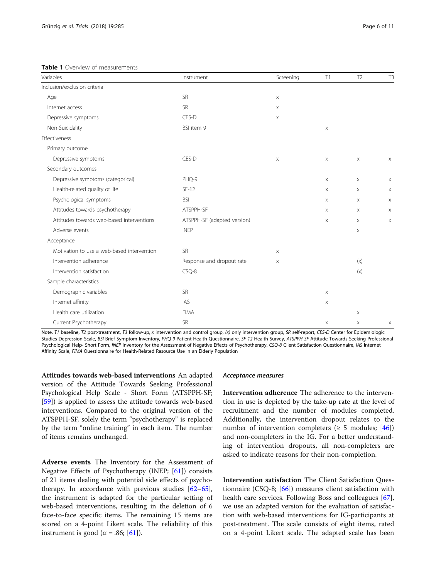#### <span id="page-5-0"></span>Table 1 Overview of measurements

| Variables                                  | Instrument                  | Screening   | T1                        | T <sub>2</sub>        | T <sub>3</sub> |
|--------------------------------------------|-----------------------------|-------------|---------------------------|-----------------------|----------------|
| Inclusion/exclusion criteria               |                             |             |                           |                       |                |
| Age                                        | SR                          | X           |                           |                       |                |
| Internet access                            | <b>SR</b>                   | $\mathsf X$ |                           |                       |                |
| Depressive symptoms                        | CES-D                       | X           |                           |                       |                |
| Non-Suicidality                            | BSI item 9                  |             | $\boldsymbol{\mathsf{X}}$ |                       |                |
| Effectiveness                              |                             |             |                           |                       |                |
| Primary outcome                            |                             |             |                           |                       |                |
| Depressive symptoms                        | CES-D                       | X           | $\boldsymbol{\mathsf{X}}$ | $\boldsymbol{\times}$ | $\mathsf X$    |
| Secondary outcomes                         |                             |             |                           |                       |                |
| Depressive symptoms (categorical)          | PHQ-9                       |             | $\boldsymbol{\mathsf{X}}$ | X                     | $\mathsf X$    |
| Health-related quality of life             | $SF-12$                     |             | X                         | X                     | $\mathsf X$    |
| Psychological symptoms                     | <b>BSI</b>                  |             | X                         | $\times$              | $\mathsf X$    |
| Attitudes towards psychotherapy            | ATSPPH-SF                   |             | Χ                         | X                     | $\mathsf X$    |
| Attitudes towards web-based interventions  | ATSPPH-SF (adapted version) |             | $\boldsymbol{\times}$     | X                     | $\mathsf X$    |
| Adverse events                             | <b>INEP</b>                 |             |                           | X                     |                |
| Acceptance                                 |                             |             |                           |                       |                |
| Motivation to use a web-based intervention | <b>SR</b>                   | X           |                           |                       |                |
| Intervention adherence                     | Response and dropout rate   | X           |                           | (x)                   |                |
| Intervention satisfaction                  | CSQ-8                       |             |                           | (x)                   |                |
| Sample characteristics                     |                             |             |                           |                       |                |
| Demographic variables                      | SR                          |             | X                         |                       |                |
| Internet affinity                          | <b>IAS</b>                  |             | X                         |                       |                |
| Health care utilization                    | <b>FIMA</b>                 |             |                           | X                     |                |
| Current Psychotherapy                      | <b>SR</b>                   |             | $\boldsymbol{\mathsf{X}}$ | Χ                     | $\mathsf X$    |

Note. T1 baseline, T2 post-treatment, T3 follow-up, x intervention and control group, (x) only intervention group, SR self-report, CES-D Center for Epidemiologic Studies Depression Scale, BSI Brief Symptom Inventory, PHQ-9 Patient Health Questionnaire, SF-12 Health Survey, ATSPPH-SF Attitude Towards Seeking Professional Psychological Help- Short Form, INEP Inventory for the Assessment of Negative Effects of Psychotherapy, CSQ-8 Client Satisfaction Questionnaire, IAS Internet Affinity Scale, FIMA Questionnaire for Health-Related Resource Use in an Elderly Population

Attitudes towards web-based interventions An adapted version of the Attitude Towards Seeking Professional Psychological Help Scale - Short Form (ATSPPH-SF; [[59\]](#page-9-0)) is applied to assess the attitude towards web-based interventions. Compared to the original version of the ATSPPH-SF, solely the term "psychotherapy" is replaced by the term "online training" in each item. The number of items remains unchanged.

Adverse events The Inventory for the Assessment of Negative Effects of Psychotherapy (INEP; [\[61\]](#page-9-0)) consists of 21 items dealing with potential side effects of psychotherapy. In accordance with previous studies  $[62-65]$  $[62-65]$  $[62-65]$  $[62-65]$  $[62-65]$ , the instrument is adapted for the particular setting of web-based interventions, resulting in the deletion of 6 face-to-face specific items. The remaining 15 items are scored on a 4-point Likert scale. The reliability of this instrument is good ( $\alpha$  = .86; [\[61](#page-9-0)]).

#### Acceptance measures

Intervention adherence The adherence to the intervention in use is depicted by the take-up rate at the level of recruitment and the number of modules completed. Additionally, the intervention dropout relates to the number of intervention completers ( $\geq 5$  modules; [\[46](#page-9-0)]) and non-completers in the IG. For a better understanding of intervention dropouts, all non-completers are asked to indicate reasons for their non-completion.

Intervention satisfaction The Client Satisfaction Questionnaire (CSQ-8; [[66](#page-9-0)]) measures client satisfaction with health care services. Following Boss and colleagues [\[67](#page-9-0)], we use an adapted version for the evaluation of satisfaction with web-based interventions for IG-participants at post-treatment. The scale consists of eight items, rated on a 4-point Likert scale. The adapted scale has been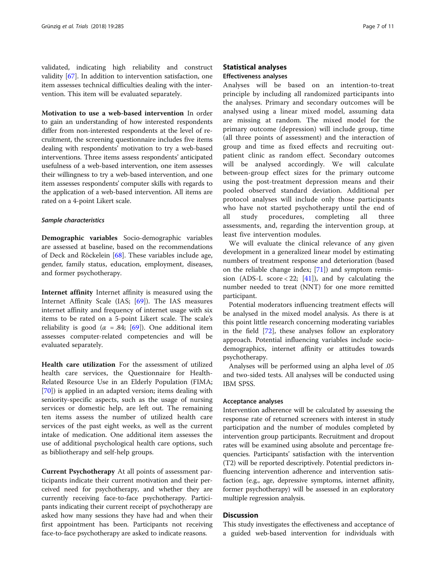validated, indicating high reliability and construct validity [\[67](#page-9-0)]. In addition to intervention satisfaction, one item assesses technical difficulties dealing with the intervention. This item will be evaluated separately.

Motivation to use a web-based intervention In order to gain an understanding of how interested respondents differ from non-interested respondents at the level of recruitment, the screening questionnaire includes five items dealing with respondents' motivation to try a web-based interventions. Three items assess respondents' anticipated usefulness of a web-based intervention, one item assesses their willingness to try a web-based intervention, and one item assesses respondents' computer skills with regards to the application of a web-based intervention. All items are rated on a 4-point Likert scale.

## Sample characteristics

Demographic variables Socio-demographic variables are assessed at baseline, based on the recommendations of Deck and Röckelein [[68\]](#page-9-0). These variables include age, gender, family status, education, employment, diseases, and former psychotherapy.

Internet affinity Internet affinity is measured using the Internet Affinity Scale (IAS; [[69](#page-10-0)]). The IAS measures internet affinity and frequency of internet usage with six items to be rated on a 5-point Likert scale. The scale's reliability is good ( $\alpha$  = .84; [\[69](#page-10-0)]). One additional item assesses computer-related competencies and will be evaluated separately.

Health care utilization For the assessment of utilized health care services, the Questionnaire for Health-Related Resource Use in an Elderly Population (FIMA; [[70\]](#page-10-0)) is applied in an adapted version; items dealing with seniority-specific aspects, such as the usage of nursing services or domestic help, are left out. The remaining ten items assess the number of utilized health care services of the past eight weeks, as well as the current intake of medication. One additional item assesses the use of additional psychological health care options, such as bibliotherapy and self-help groups.

Current Psychotherapy At all points of assessment participants indicate their current motivation and their perceived need for psychotherapy, and whether they are currently receiving face-to-face psychotherapy. Participants indicating their current receipt of psychotherapy are asked how many sessions they have had and when their first appointment has been. Participants not receiving face-to-face psychotherapy are asked to indicate reasons.

## Statistical analyses Effectiveness analyses

Analyses will be based on an intention-to-treat principle by including all randomized participants into the analyses. Primary and secondary outcomes will be analysed using a linear mixed model, assuming data are missing at random. The mixed model for the primary outcome (depression) will include group, time (all three points of assessment) and the interaction of group and time as fixed effects and recruiting outpatient clinic as random effect. Secondary outcomes will be analysed accordingly. We will calculate between-group effect sizes for the primary outcome using the post-treatment depression means and their pooled observed standard deviation. Additional per protocol analyses will include only those participants who have not started psychotherapy until the end of all study procedures, completing all three assessments, and, regarding the intervention group, at least five intervention modules.

We will evaluate the clinical relevance of any given development in a generalized linear model by estimating numbers of treatment response and deterioration (based on the reliable change index; [\[71](#page-10-0)]) and symptom remission (ADS-L score < 22;  $[41]$ ), and by calculating the number needed to treat (NNT) for one more remitted participant.

Potential moderators influencing treatment effects will be analysed in the mixed model analysis. As there is at this point little research concerning moderating variables in the field [[72\]](#page-10-0), these analyses follow an exploratory approach. Potential influencing variables include sociodemographics, internet affinity or attitudes towards psychotherapy.

Analyses will be performed using an alpha level of .05 and two-sided tests. All analyses will be conducted using IBM SPSS.

## Acceptance analyses

Intervention adherence will be calculated by assessing the response rate of returned screeners with interest in study participation and the number of modules completed by intervention group participants. Recruitment and dropout rates will be examined using absolute and percentage frequencies. Participants' satisfaction with the intervention (T2) will be reported descriptively. Potential predictors influencing intervention adherence and intervention satisfaction (e.g., age, depressive symptoms, internet affinity, former psychotherapy) will be assessed in an exploratory multiple regression analysis.

## **Discussion**

This study investigates the effectiveness and acceptance of a guided web-based intervention for individuals with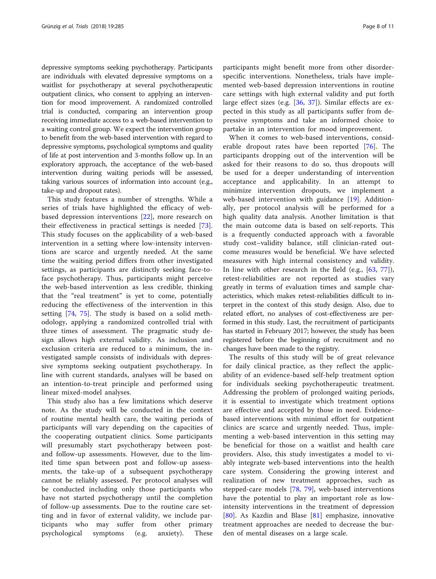depressive symptoms seeking psychotherapy. Participants are individuals with elevated depressive symptoms on a waitlist for psychotherapy at several psychotherapeutic outpatient clinics, who consent to applying an intervention for mood improvement. A randomized controlled trial is conducted, comparing an intervention group receiving immediate access to a web-based intervention to a waiting control group. We expect the intervention group to benefit from the web-based intervention with regard to depressive symptoms, psychological symptoms and quality of life at post intervention and 3-months follow up. In an exploratory approach, the acceptance of the web-based intervention during waiting periods will be assessed, taking various sources of information into account (e.g., take-up and dropout rates).

This study features a number of strengths. While a series of trials have highlighted the efficacy of webbased depression interventions [\[22](#page-8-0)], more research on their effectiveness in practical settings is needed [\[73](#page-10-0)]. This study focuses on the applicability of a web-based intervention in a setting where low-intensity interventions are scarce and urgently needed. At the same time the waiting period differs from other investigated settings, as participants are distinctly seeking face-toface psychotherapy. Thus, participants might perceive the web-based intervention as less credible, thinking that the "real treatment" is yet to come, potentially reducing the effectiveness of the intervention in this setting [\[74](#page-10-0), [75](#page-10-0)]. The study is based on a solid methodology, applying a randomized controlled trial with three times of assessment. The pragmatic study design allows high external validity. As inclusion and exclusion criteria are reduced to a minimum, the investigated sample consists of individuals with depressive symptoms seeking outpatient psychotherapy. In line with current standards, analyses will be based on an intention-to-treat principle and performed using linear mixed-model analyses.

This study also has a few limitations which deserve note. As the study will be conducted in the context of routine mental health care, the waiting periods of participants will vary depending on the capacities of the cooperating outpatient clinics. Some participants will presumably start psychotherapy between postand follow-up assessments. However, due to the limited time span between post and follow-up assessments, the take-up of a subsequent psychotherapy cannot be reliably assessed. Per protocol analyses will be conducted including only those participants who have not started psychotherapy until the completion of follow-up assessments. Due to the routine care setting and in favor of external validity, we include participants who may suffer from other primary psychological symptoms (e.g. anxiety). These

participants might benefit more from other disorderspecific interventions. Nonetheless, trials have implemented web-based depression interventions in routine care settings with high external validity and put forth large effect sizes (e.g. [\[36](#page-9-0), [37\]](#page-9-0)). Similar effects are expected in this study as all participants suffer from depressive symptoms and take an informed choice to partake in an intervention for mood improvement.

When it comes to web-based interventions, considerable dropout rates have been reported [\[76](#page-10-0)]. The participants dropping out of the intervention will be asked for their reasons to do so, thus dropouts will be used for a deeper understanding of intervention acceptance and applicability. In an attempt to minimize intervention dropouts, we implement a web-based intervention with guidance [[19\]](#page-8-0). Additionally, per protocol analysis will be performed for a high quality data analysis. Another limitation is that the main outcome data is based on self-reports. This is a frequently conducted approach with a favorable study cost–validity balance, still clinician-rated outcome measures would be beneficial. We have selected measures with high internal consistency and validity. In line with other research in the field (e.g., [\[63,](#page-9-0) [77\]](#page-10-0)), retest-reliabilities are not reported as studies vary greatly in terms of evaluation times and sample characteristics, which makes retest-reliabilities difficult to interpret in the context of this study design. Also, due to related effort, no analyses of cost-effectiveness are performed in this study. Last, the recruitment of participants has started in February 2017; however, the study has been registered before the beginning of recruitment and no changes have been made to the registry.

The results of this study will be of great relevance for daily clinical practice, as they reflect the applicability of an evidence-based self-help treatment option for individuals seeking psychotherapeutic treatment. Addressing the problem of prolonged waiting periods, it is essential to investigate which treatment options are effective and accepted by those in need. Evidencebased interventions with minimal effort for outpatient clinics are scarce and urgently needed. Thus, implementing a web-based intervention in this setting may be beneficial for those on a waitlist and health care providers. Also, this study investigates a model to viably integrate web-based interventions into the health care system. Considering the growing interest and realization of new treatment approaches, such as stepped-care models [\[78](#page-10-0), [79\]](#page-10-0), web-based interventions have the potential to play an important role as lowintensity interventions in the treatment of depression [[80\]](#page-10-0). As Kazdin and Blase [\[81](#page-10-0)] emphasize, innovative treatment approaches are needed to decrease the burden of mental diseases on a large scale.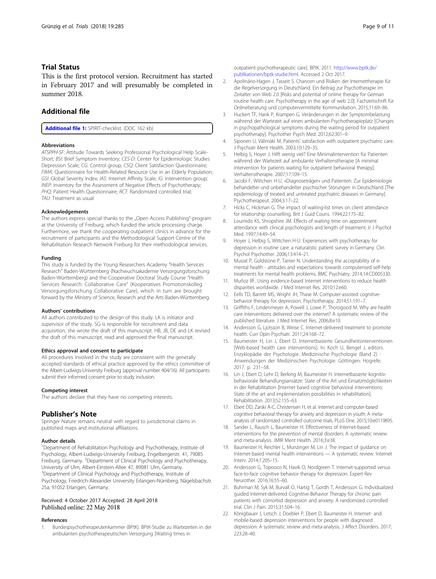## <span id="page-8-0"></span>Trial Status

This is the first protocol version. Recruitment has started in February 2017 and will presumably be completed in summer 2018.

## Additional file

[Additional file 1:](https://doi.org/10.1186/s13063-018-2657-9) SPIRIT-checklist. (DOC 162 kb)

#### Abbreviations

ATSPPH-SF: Attitude Towards Seeking Professional Psychological Help Scale-Short; BSI: Brief Symptom Inventory; CES-D: Center for Epidemiologic Studies Depression Scale; CG: Control group; CSQ: Client Satisfaction Questionnaire; FIMA: Questionnaire for Health-Related Resource Use in an Elderly Population; GSI: Global Severity Index; IAS: Internet Affinity Scale; IG: Intervention group; INEP: Inventory for the Assessment of Negative Effects of Psychotherapy; PHQ: Patient Health Questionnaire; RCT: Randomized controlled trial; TAU: Treatment as usual

#### Acknowledgements

The authors express special thanks to the "Open Access Publishing"-program at the University of Freiburg, which funded the article processing charge. Furthermore, we thank the cooperating outpatient clinics in advance for the recruitment of participants and the Methodological Support Centre of the Rehabilitation Research Network Freiburg for their methodological services.

#### Funding

This study is funded by the Young Researchers Academy "Health Services Research" Baden-Württemberg (Nachwuchsakademie Versorgungsforschung Baden-Württemberg) and the Cooperative Doctoral Study Course "Health Services Research: Collaborative Care" (Kooperatives Promotionskolleg Versorgungsforschung Collaborative Care), which in turn are brought forward by the Ministry of Science, Research and the Arts Baden-Württemberg.

#### Authors' contributions

All authors contributed to the design of this study. LK is initiator and supervisor of the study. SG is responsible for recruitment and data acquisition, she wrote the draft of this manuscript. HB, JB, DE and LK revised the draft of this manuscript, read and approved the final manuscript.

#### Ethics approval and consent to participate

All procedures involved in the study are consistent with the generally accepted standards of ethical practice approved by the ethics committee of the Albert-Ludwigs-University Freiburg (approval number 404/16). All participants submit their informed consent prior to study inclusion.

#### Competing interest

The authors declare that they have no competing interests.

## Publisher's Note

Springer Nature remains neutral with regard to jurisdictional claims in published maps and institutional affiliations.

#### Author details

<sup>1</sup>Department of Rehabilitation Psychology and Psychotherapy, Institute of Psychology, Albert-Ludwigs-University Freiburg, Engelbergerstr. 41, 79085 Freiburg, Germany. <sup>2</sup> Department of Clinical Psychology and Psychotherapy, University of Ulm, Albert-Einstein-Allee 47, 89081 Ulm, Germany. <sup>3</sup>Department of Clinical Psychology and Psychotherapy, Institute of Psychology, Friedrich-Alexander University Erlangen-Nürnberg, Nägelsbachstr. 25a, 91052 Erlangen, Germany.

## Received: 4 October 2017 Accepted: 28 April 2018 Published online: 22 May 2018

#### References

1. Bundespsychotherapeutenkammer (BPtK). BPtK-Studie zu Wartezeiten in der ambulanten psychotherapeutischen Versorgung [Waiting times in

outpatient psychotherapeutic care]. BPtK. 2011. [http://www.bptk.de/](http://www.bptk.de/publikationen/bptk-studie.html) [publikationen/bptk-studie.html.](http://www.bptk.de/publikationen/bptk-studie.html) Accessed 2 Oct 2017.

- 2. Apolinário-Hagen J, Tasseit S. Chancen und Risiken der Internettherapie für die Regelversorgung in Deutschland. Ein Beitrag zur Psychotherapie im Zeitalter von Web 2.0 [Risks and potential of online therapy for German routine health care. Psychotherapy in the age of web 2.0]. Fachzeitschrift für Onlineberatung und computervermittelte Kommunikation. 2015;11:69–86.
- 3. Huckert TF, Hank P, Krampen G. Veränderungen in der Symptombelastung während der Wartezeit auf einen ambulanten Psychotherapieplatz [Changes in psychopathological symptoms during the waiting period for outpatient psychotherapy]. Psychother Psych Med. 2012;62:301–9.
- 4. Siponen U, Välimäki M. Patients' satisfaction with outpatient psychiatric care. J Psychiatr Ment Health. 2003;10:129–35.
- 5. Helbig S, Hoyer J. Hilft wenig viel? Eine Minimalintervention für Patienten während der Wartezeit auf ambulante Verhaltenstherapie [A minimal intervention for patients waiting for outpatient behavioral therapy]. Verhaltenstherapie. 2007;17:109–15.
- 6. Jacobi F, Wittchen H-U. «Diagnoseträger» und Patienten: Zur Epidemiologie behandelter und unbehandelter psychischer Störungen in Deutschland [The epidemiology of treated and untreated psychiatric diseases in Germany]. Psychotherapeut. 2004;3:17–22.
- Hicks C, Hickman G. The impact of waiting-list times on client attendance for relationship counselling. Brit J Guid Couns. 1994;22:175–82.
- 8. Loumidis KS, Shropshire JM. Effects of waiting time on appointment attendance with clinical psychologists and length of treatment. Ir J Psychol Med. 1997;14:49–54.
- 9. Hoyer J, Helbig S, Wittchen H-U. Experiences with psychotherapy for depression in routine care: a naturalistic patient survey in Germany. Clin Psychol Psychother. 2006;13:414–21.
- 10. Musiat P, Goldstone P, Tarrier N. Understanding the acceptability of emental health - attitudes and expectations towards computerised self-help treatments for mental health problems. BMC Psychiatry. 2014;14:CD005330.
- 11. Muñoz RF. Using evidence-based Internet interventions to reduce health disparities worldwide. J Med Internet Res. 2010;12:e60.
- 12. Eells TD, Barrett MS, Wright JH, Thase M. Computer-assisted cognitivebehavior therapy for depression. Psychotherapy. 2014;51:191–7.
- 13. Griffiths F, Lindenmeyer A, Powell J, Lowe P, Thorogood M. Why are health care interventions delivered over the internet? A systematic review of the published literature. J Med Internet Res. 2006;8:e10.
- 14. Andersson G, Ljotsson B, Weise C. Internet-delivered treatment to promote health. Curr Opin Psychiatr. 2011;24:168–72.
- 15. Baumeister H, Lin J, Ebert D. Internetbasierte Gesundheitsinterventionen [Web-based health care interventions]. In: Koch U, Bengel J, editors. Enzyklopädie der Psychologie: Medizinische Psychologie (Band 2) - Anwendungen der Medizinischen Psychologie. Göttingen: Hogrefe; 2017. p. 231–58.
- 16. Lin J, Ebert D, Lehr D, Berking M, Baumeister H. Internetbasierte kognitivbehaviorale Behandlungsansätze: State of the Art und Einsatzmöglichkeiten in der Rehabilitation [Internet based cognitive behavioral interventions: State of the art and implementation possibilities in rehabilitation]. Rehabilitation. 2013;52:155–63.
- 17. Ebert DD, Zarski A-C, Christensen H, et al. Internet and computer-based cognitive behavioral therapy for anxiety and depression in youth: A metaanalysis of randomized controlled outcome trials. PLoS One. 2015;10:e0119895.
- 18. Sander L, Rausch L, Baumeister H. Effectiveness of Internet-based interventions for the prevention of mental disorders: A systematic review and meta-analysis. JMIR Ment Health. 2016;3:e38.
- 19. Baumeister H, Reichler L, Munzinger M, Lin J. The impact of guidance on Internet-based mental health interventions — A systematic review. Internet Interv. 2014;1:205–15.
- 20. Andersson G, Topooco N, Havik O, Nordgreen T. Internet-supported versus face-to-face cognitive behavior therapy for depression. Expert Rev Neurother. 2016;16:55–60.
- 21. Buhrman M, Syk M, Burvall O, Hartig T, Gordh T, Andersson G. Individualized guided Internet-delivered Cognitive-Behavior Therapy for chronic pain patients with comorbid depression and anxiety: A randomized controlled trial. Clin J Pain. 2015;31:504–16.
- 22. Königbauer J, Letsch J, Doebler P, Ebert D, Baumeister H. Internet- and mobile-based depression interventions for people with diagnosed depression: A systematic review and meta-analysis. J Affect Disorders. 2017; 223:28–40.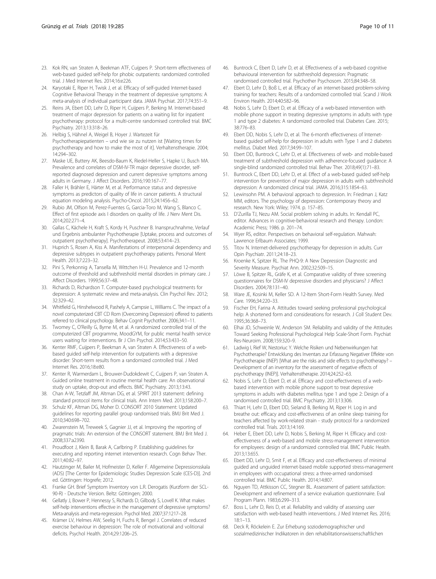- <span id="page-9-0"></span>23. Kok RN, van Straten A, Beekman ATF, Cuijpers P. Short-term effectiveness of web-based guided self-help for phobic outpatients: randomized controlled trial. J Med Internet Res. 2014;16:e226.
- 24. Karyotaki E, Riper H, Twisk J, et al. Efficacy of self-guided Internet-based Cognitive Behavioral Therapy in the treatment of depressive symptoms: A meta-analysis of individual participant data. JAMA Psychiat. 2017;74:351–9.
- 25. Reins JA, Ebert DD, Lehr D, Riper H, Cuijpers P, Berking M. Internet-based treatment of major depression for patients on a waiting list for inpatient psychotherapy: protocol for a multi-centre randomised controlled trial. BMC Psychiatry. 2013;13:318–26.
- 26. Helbig S, Hähnel A, Weigel B, Hoyer J. Wartezeit für Psychotherapiepatienten – und wie sie zu nutzen ist [Waiting times for psychotherapy and how to make the most of it]. Verhaltenstherapie. 2004; 14:294–302.
- 27. Maske UE, Buttery AK, Beesdo-Baum K, Riedel-Heller S, Hapke U, Busch MA. Prevalence and correlates of DSM-IV-TR major depressive disorder, selfreported diagnosed depression and current depressive symptoms among adults in Germany. J Affect Disorders. 2016;190:167–77.
- 28. Faller H, Brähler E, Härter M, et al. Performance status and depressive symptoms as predictors of quality of life in cancer patients. A structural equation modeling analysis. Psycho-Oncol. 2015;24:1456–62.
- 29. Rubio JM, Olfson M, Perez-Fuentes G, Garcia-Toro M, Wang S, Blanco C. Effect of first episode axis I disorders on quality of life. J Nerv Ment Dis. 2014;202:271–4.
- 30. Gallas C, Kächele H, Kraft S, Kordy H, Puschner B. Inanspruchnahme, Verlauf und Ergebnis ambulanter Psychotherapie [Uptake, process and outcomes of outpatient psychotherapy]. Psychotherapeut. 2008;53:414–23.
- 31. Huprich S, Rosen A, Kiss A. Manifestations of interpersonal dependency and depressive subtypes in outpatient psychotherapy patients. Personal Ment Health. 2013;7:223–32.
- 32. Pini S, Perkonnig A, Tansella M, Wittchen H-U. Prevalence and 12-month outcome of threshold and subthreshold mental disorders in primary care. J Affect Disorders. 1999;56:37–48.
- 33. Richards D, Richardson T. Computer-based psychological treatments for depression: A systematic review and meta-analysis. Clin Psychol Rev. 2012; 32:329–42.
- 34. Whitfield G, Hinshelwood R, Pashely A, Campsie L, Williams C. The impact of a novel computerized CBT CD Rom (Overcoming Depression) offered to patients referred to clinical psychology. Behav Cognit Psychother. 2006;34:1–11.
- 35. Twomey C, O'Reilly G, Byrne M, et al. A randomized controlled trial of the computerized CBT programme, MoodGYM, for public mental health service users waiting for interventions. Br J Clin Psychol. 2014;53:433–50.
- 36. Kenter RMF, Cuijpers P, Beekman A, van Straten A. Effectiveness of a webbased guided self-help intervention for outpatients with a depressive disorder: Short-term results from a randomized controlled trial. J Med Internet Res. 2016;18:e80.
- 37. Kenter R, Warmerdam L, Brouwer-Dudokdewit C, Cuijpers P, van Straten A. Guided online treatment in routine mental health care: An observational study on uptake, drop-out and effects. BMC Psychiatry. 2013;13:43.
- 38. Chan A-W, Tetzlaff JM, Altman DG, et al. SPIRIT 2013 statement: defining standard protocol items for clinical trials. Ann Intern Med. 2013;158:200–7.
- 39. Schulz KF, Altman DG, Moher D. CONSORT 2010 Statement: Updated guidelines for reporting parallel group randomised trials. BMJ Brit Med J. 2010;340:698–702.
- 40. Zwarenstein M, Treweek S, Gagnier JJ, et al. Improving the reporting of pragmatic trials: An extension of the CONSORT statement. BMJ Brit Med J. 2008;337:a2390.
- 41. Proudfoot J, Klein B, Barak A, Carlbring P. Establishing guidelines for executing and reporting internet intervention research. Cogn Behav Ther. 2011;40:82–97.
- 42. Hautzinger M, Bailer M, Hofmeister D, Keller F. Allgemeine Depressionsskala (ADS) [The Center for Epidemiologic Studies Depression Scale (CES-D)]. 2nd ed. Göttingen: Hogrefe; 2012.
- 43. Franke GH. Brief Symptom Inventory von L.R. Derogatis (Kurzform der SCL-90-R) - Deutsche Version. Beltz: Göttingen; 2000.
- 44. Gellatly J, Bower P, Hennessy S, Richards D, Gilbody S, Lovell K. What makes self-help interventions effective in the management of depressive symptoms? Meta-analysis and meta-regression. Psychol Med. 2007;37:1217–28.
- 45. Krämer LV, Helmes AW, Seelig H, Fuchs R, Bengel J. Correlates of reduced exercise behaviour in depression: The role of motivational and volitional deficits. Psychol Health. 2014;29:1206–25.
- 46. Buntrock C, Ebert D, Lehr D, et al. Effectiveness of a web-based cognitive behavioural intervention for subthreshold depression: Pragmatic randomised controlled trial. Psychother Psychosom. 2015;84:348–58.
- 47. Ebert D, Lehr D, Boß L, et al. Efficacy of an internet-based problem-solving training for teachers: Results of a randomized controlled trial. Scand J Work Environ Health. 2014;40:582–96.
- Nobis S, Lehr D, Ebert D, et al. Efficacy of a web-based intervention with mobile phone support in treating depressive symptoms in adults with type 1 and type 2 diabetes: A randomized controlled trial. Diabetes Care. 2015; 38:776–83.
- 49. Ebert DD, Nobis S, Lehr D, et al. The 6-month effectiveness of Internetbased guided self-help for depression in adults with Type 1 and 2 diabetes mellitus. Diabet Med. 2017;34:99–107.
- 50. Ebert DD, Buntrock C, Lehr D, et al. Effectiveness of web- and mobile-based treatment of subthreshold depression with adherence-focused guidance: A single-blind randomized controlled trial. Behav Ther. 2018;49(1):71–83.
- 51. Buntrock C, Ebert DD, Lehr D, et al. Effect of a web-based guided self-help intervention for prevention of major depression in adults with subthreshold depression: A randomized clinical trial. JAMA. 2016;315:1854–63.
- 52. Lewinsohn PM. A behavioral approach to depression. In: Friedman J, Katz MM, editors. The psychology of depression: Contemporary theory and research. New York: Wiley; 1974. p. 157–85.
- 53. D'Zurilla TJ, Nezu AM. Social problem solving in adults. In: Kendall PC, editor. Advances in cognitive-behavioral research and therapy. London: Academic Press; 1986. p. 201–74.
- 54. Wyer RS, editor. Perspectives on behavioral self-regulation. Mahwah: Lawrence Erlbaum Associates; 1999.
- 55. Titov N. Internet-delivered psychotherapy for depression in adults. Curr Opin Psychiatr. 2011;24:18–23.
- 56. Kroenke K, Spitzer RL. The PHQ-9: A New Depression Diagnostic and Severity Measure. Psychiat Ann. 2002;32:509–15.
- 57. Löwe B, Spitzer RL, Gräfe K, et al. Comparative validity of three screening questionnaires for DSM-IV depressive disorders and physicians? J Affect Disorders. 2004;78:131–40.
- 58. Ware JE, Kosinki M, Keller SD. A 12-Item Short-Form Health Survey. Med Care. 1996;34:220–33.
- 59. Fischer EH, Farina A. Attitudes toward seeking professional psychological help: A shortened form and considerations for research. J Coll Student Dev. 1995;36:368–73.
- 60. Elhai JD, Schweinle W, Anderson SM. Reliability and validity of the Attitudes Toward Seeking Professional Psychological Help Scale-Short Form. Psychiat Res-Neuroim. 2008;159:320–9.
- 61. Ladwig I, Rief W, Nestoriuc Y. Welche Risiken und Nebenwirkungen hat Psychotherapie? Entwicklung des Inventars zur Erfassung Negativer Effekte von Psychotherapie (INEP) [What are the risks and side effects to psychotherapy? – Development of an inventory for the assessment of negative effects of psychotherapy (INEP)]. Verhaltenstherapie. 2014;24:252–63.
- 62. Nobis S, Lehr D, Ebert D, et al. Efficacy and cost-effectiveness of a webbased intervention with mobile phone support to treat depressive symptoms in adults with diabetes mellitus type 1 and type 2: Design of a randomised controlled trial. BMC Psychiatry. 2013;13:306.
- 63. Thiart H, Lehr D, Ebert DD, Sieland B, Berking M, Riper H. Log in and breathe out: efficacy and cost-effectiveness of an online sleep training for teachers affected by work-related strain - study protocol for a randomized controlled trial. Trials. 2013;14:169.
- 64. Heber E, Ebert DD, Lehr D, Nobis S, Berking M, Riper H. Efficacy and costeffectiveness of a web-based and mobile stress-management intervention for employees: design of a randomized controlled trial. BMC Public Health. 2013;13:655.
- 65. Ebert DD, Lehr D, Smit F, et al. Efficacy and cost-effectiveness of minimal guided and unguided internet-based mobile supported stress-management in employees with occupational stress: a three-armed randomised controlled trial. BMC Public Health. 2014;14:807.
- 66. Nguyen TD, Attkisson CC, Stegner BL. Assessment of patient satisfaction: Development and refinement of a service evaluation questionnaire. Eval Program Plann. 1983;6:299–313.
- 67. Boss L, Lehr D, Reis D, et al. Reliability and validity of assessing user satisfaction with web-based health interventions. J Med Internet Res. 2016; 18:1–13.
- 68. Deck R, Röckelein E. Zur Erhebung soziodemographischer und sozialmedizinischer Indikatoren in den rehabilitationswissenschaftlichen